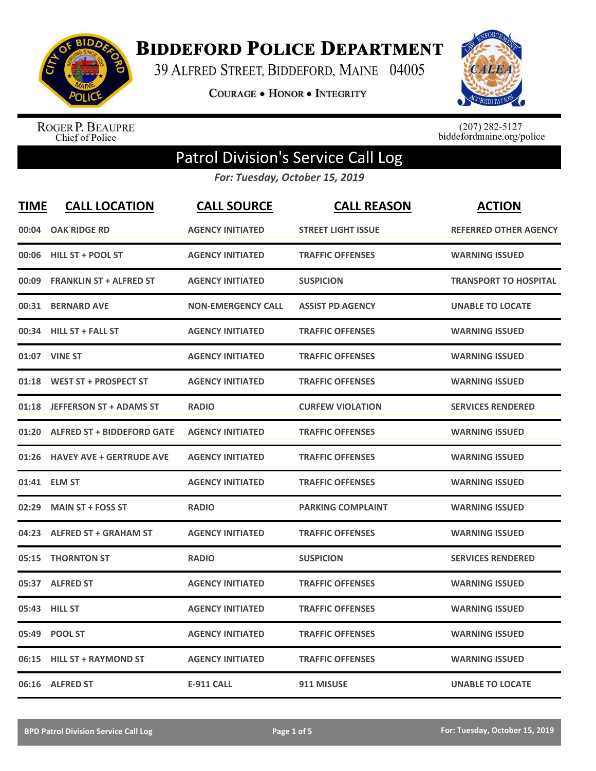

**BIDDEFORD POLICE DEPARTMENT** 

39 ALFRED STREET, BIDDEFORD, MAINE 04005

**COURAGE . HONOR . INTEGRITY** 



ROGER P. BEAUPRE<br>Chief of Police

 $(207)$  282-5127<br>biddefordmaine.org/police

## Patrol Division's Service Call Log

*For: Tuesday, October 15, 2019*

| <b>TIME</b> | <b>CALL LOCATION</b>              | <b>CALL SOURCE</b>        | <b>CALL REASON</b>        | <b>ACTION</b>                |
|-------------|-----------------------------------|---------------------------|---------------------------|------------------------------|
| 00:04       | <b>OAK RIDGE RD</b>               | <b>AGENCY INITIATED</b>   | <b>STREET LIGHT ISSUE</b> | <b>REFERRED OTHER AGENCY</b> |
| 00:06       | <b>HILL ST + POOL ST</b>          | <b>AGENCY INITIATED</b>   | <b>TRAFFIC OFFENSES</b>   | <b>WARNING ISSUED</b>        |
| 00:09       | <b>FRANKLIN ST + ALFRED ST</b>    | <b>AGENCY INITIATED</b>   | <b>SUSPICION</b>          | <b>TRANSPORT TO HOSPITAL</b> |
| 00:31       | <b>BERNARD AVE</b>                | <b>NON-EMERGENCY CALL</b> | <b>ASSIST PD AGENCY</b>   | <b>UNABLE TO LOCATE</b>      |
| 00:34       | <b>HILL ST + FALL ST</b>          | <b>AGENCY INITIATED</b>   | <b>TRAFFIC OFFENSES</b>   | <b>WARNING ISSUED</b>        |
|             | 01:07 VINE ST                     | <b>AGENCY INITIATED</b>   | <b>TRAFFIC OFFENSES</b>   | <b>WARNING ISSUED</b>        |
| 01:18       | <b>WEST ST + PROSPECT ST</b>      | <b>AGENCY INITIATED</b>   | <b>TRAFFIC OFFENSES</b>   | <b>WARNING ISSUED</b>        |
| 01:18       | <b>JEFFERSON ST + ADAMS ST</b>    | <b>RADIO</b>              | <b>CURFEW VIOLATION</b>   | <b>SERVICES RENDERED</b>     |
| 01:20       | <b>ALFRED ST + BIDDEFORD GATE</b> | <b>AGENCY INITIATED</b>   | <b>TRAFFIC OFFENSES</b>   | <b>WARNING ISSUED</b>        |
| 01:26       | <b>HAVEY AVE + GERTRUDE AVE</b>   | <b>AGENCY INITIATED</b>   | <b>TRAFFIC OFFENSES</b>   | <b>WARNING ISSUED</b>        |
|             | 01:41 ELM ST                      | <b>AGENCY INITIATED</b>   | <b>TRAFFIC OFFENSES</b>   | <b>WARNING ISSUED</b>        |
| 02:29       | <b>MAIN ST + FOSS ST</b>          | <b>RADIO</b>              | <b>PARKING COMPLAINT</b>  | <b>WARNING ISSUED</b>        |
| 04:23       | <b>ALFRED ST + GRAHAM ST</b>      | <b>AGENCY INITIATED</b>   | <b>TRAFFIC OFFENSES</b>   | <b>WARNING ISSUED</b>        |
| 05:15       | <b>THORNTON ST</b>                | <b>RADIO</b>              | <b>SUSPICION</b>          | <b>SERVICES RENDERED</b>     |
| 05:37       | <b>ALFRED ST</b>                  | <b>AGENCY INITIATED</b>   | <b>TRAFFIC OFFENSES</b>   | <b>WARNING ISSUED</b>        |
|             | 05:43 HILL ST                     | <b>AGENCY INITIATED</b>   | <b>TRAFFIC OFFENSES</b>   | <b>WARNING ISSUED</b>        |
| 05:49       | <b>POOL ST</b>                    | <b>AGENCY INITIATED</b>   | <b>TRAFFIC OFFENSES</b>   | <b>WARNING ISSUED</b>        |
| 06:15       | <b>HILL ST + RAYMOND ST</b>       | <b>AGENCY INITIATED</b>   | <b>TRAFFIC OFFENSES</b>   | <b>WARNING ISSUED</b>        |
|             | 06:16 ALFRED ST                   | <b>E-911 CALL</b>         | 911 MISUSE                | <b>UNABLE TO LOCATE</b>      |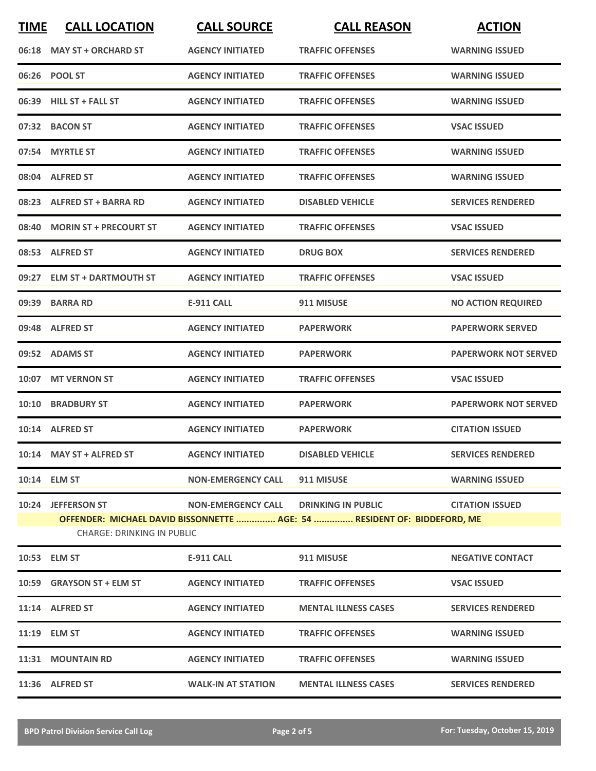| <b>TIME</b> | <b>CALL LOCATION</b>                                    | <b>CALL SOURCE</b>        | <b>CALL REASON</b>                                                                                                | <b>ACTION</b>               |
|-------------|---------------------------------------------------------|---------------------------|-------------------------------------------------------------------------------------------------------------------|-----------------------------|
|             | 06:18 MAY ST + ORCHARD ST                               | <b>AGENCY INITIATED</b>   | <b>TRAFFIC OFFENSES</b>                                                                                           | <b>WARNING ISSUED</b>       |
|             | 06:26 POOL ST                                           | <b>AGENCY INITIATED</b>   | <b>TRAFFIC OFFENSES</b>                                                                                           | <b>WARNING ISSUED</b>       |
|             | 06:39 HILL ST + FALL ST                                 | <b>AGENCY INITIATED</b>   | <b>TRAFFIC OFFENSES</b>                                                                                           | <b>WARNING ISSUED</b>       |
|             | 07:32 BACON ST                                          | <b>AGENCY INITIATED</b>   | <b>TRAFFIC OFFENSES</b>                                                                                           | <b>VSAC ISSUED</b>          |
|             | 07:54 MYRTLE ST                                         | <b>AGENCY INITIATED</b>   | <b>TRAFFIC OFFENSES</b>                                                                                           | <b>WARNING ISSUED</b>       |
|             | 08:04 ALFRED ST                                         | <b>AGENCY INITIATED</b>   | <b>TRAFFIC OFFENSES</b>                                                                                           | <b>WARNING ISSUED</b>       |
|             | 08:23 ALFRED ST + BARRA RD                              | <b>AGENCY INITIATED</b>   | <b>DISABLED VEHICLE</b>                                                                                           | <b>SERVICES RENDERED</b>    |
|             | 08:40 MORIN ST + PRECOURT ST                            | <b>AGENCY INITIATED</b>   | <b>TRAFFIC OFFENSES</b>                                                                                           | <b>VSAC ISSUED</b>          |
|             | 08:53 ALFRED ST                                         | <b>AGENCY INITIATED</b>   | <b>DRUG BOX</b>                                                                                                   | <b>SERVICES RENDERED</b>    |
|             | 09:27 ELM ST + DARTMOUTH ST                             | <b>AGENCY INITIATED</b>   | <b>TRAFFIC OFFENSES</b>                                                                                           | <b>VSAC ISSUED</b>          |
|             | 09:39 BARRA RD                                          | <b>E-911 CALL</b>         | 911 MISUSE                                                                                                        | <b>NO ACTION REQUIRED</b>   |
|             | 09:48 ALFRED ST                                         | <b>AGENCY INITIATED</b>   | <b>PAPERWORK</b>                                                                                                  | <b>PAPERWORK SERVED</b>     |
|             | 09:52 ADAMS ST                                          | <b>AGENCY INITIATED</b>   | <b>PAPERWORK</b>                                                                                                  | <b>PAPERWORK NOT SERVED</b> |
|             | 10:07 MT VERNON ST                                      | <b>AGENCY INITIATED</b>   | <b>TRAFFIC OFFENSES</b>                                                                                           | <b>VSAC ISSUED</b>          |
|             | 10:10 BRADBURY ST                                       | <b>AGENCY INITIATED</b>   | <b>PAPERWORK</b>                                                                                                  | <b>PAPERWORK NOT SERVED</b> |
|             | 10:14 ALFRED ST                                         | <b>AGENCY INITIATED</b>   | <b>PAPERWORK</b>                                                                                                  | <b>CITATION ISSUED</b>      |
|             | 10:14 MAY ST + ALFRED ST                                | <b>AGENCY INITIATED</b>   | <b>DISABLED VEHICLE</b>                                                                                           | <b>SERVICES RENDERED</b>    |
|             | 10:14 ELM ST                                            | <b>NON-EMERGENCY CALL</b> | <b>911 MISUSE</b>                                                                                                 | <b>WARNING ISSUED</b>       |
|             | 10:24 JEFFERSON ST<br><b>CHARGE: DRINKING IN PUBLIC</b> |                           | NON-EMERGENCY CALL DRINKING IN PUBLIC<br>OFFENDER: MICHAEL DAVID BISSONNETTE  AGE: 54  RESIDENT OF: BIDDEFORD, ME | <b>CITATION ISSUED</b>      |
|             | 10:53 ELM ST                                            | E-911 CALL                | 911 MISUSE                                                                                                        | <b>NEGATIVE CONTACT</b>     |
|             | 10:59 GRAYSON ST + ELM ST                               | <b>AGENCY INITIATED</b>   | <b>TRAFFIC OFFENSES</b>                                                                                           | <b>VSAC ISSUED</b>          |
|             | 11:14 ALFRED ST                                         | <b>AGENCY INITIATED</b>   | <b>MENTAL ILLNESS CASES</b>                                                                                       | <b>SERVICES RENDERED</b>    |
|             | 11:19 ELM ST                                            | <b>AGENCY INITIATED</b>   | <b>TRAFFIC OFFENSES</b>                                                                                           | <b>WARNING ISSUED</b>       |
|             | 11:31 MOUNTAIN RD                                       | <b>AGENCY INITIATED</b>   | <b>TRAFFIC OFFENSES</b>                                                                                           | <b>WARNING ISSUED</b>       |
|             | 11:36 ALFRED ST                                         | <b>WALK-IN AT STATION</b> | <b>MENTAL ILLNESS CASES</b>                                                                                       | <b>SERVICES RENDERED</b>    |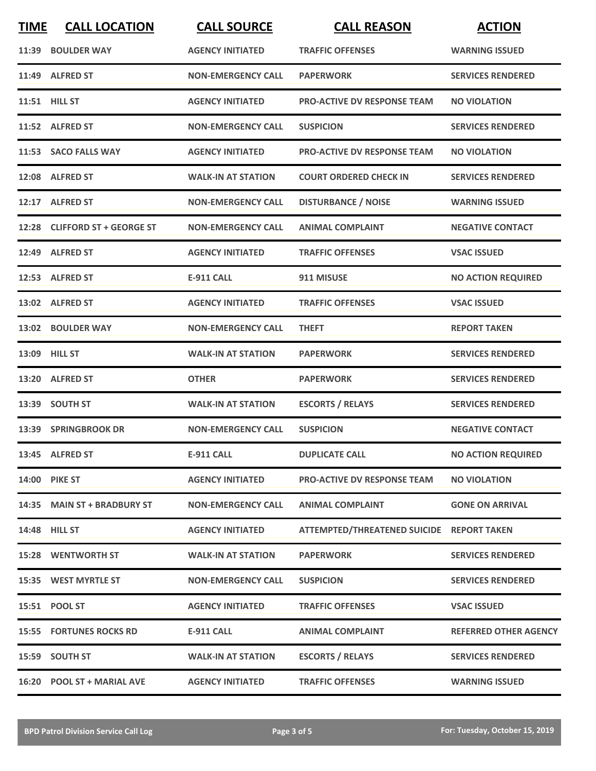| <b>TIME</b> | <b>CALL LOCATION</b>           | <b>CALL SOURCE</b>        | <b>CALL REASON</b>                        | <b>ACTION</b>                |
|-------------|--------------------------------|---------------------------|-------------------------------------------|------------------------------|
|             | 11:39 BOULDER WAY              | <b>AGENCY INITIATED</b>   | <b>TRAFFIC OFFENSES</b>                   | <b>WARNING ISSUED</b>        |
|             | 11:49 ALFRED ST                | <b>NON-EMERGENCY CALL</b> | <b>PAPERWORK</b>                          | <b>SERVICES RENDERED</b>     |
|             | 11:51 HILL ST                  | <b>AGENCY INITIATED</b>   | PRO-ACTIVE DV RESPONSE TEAM               | <b>NO VIOLATION</b>          |
|             | 11:52 ALFRED ST                | <b>NON-EMERGENCY CALL</b> | <b>SUSPICION</b>                          | <b>SERVICES RENDERED</b>     |
|             | 11:53 SACO FALLS WAY           | <b>AGENCY INITIATED</b>   | <b>PRO-ACTIVE DV RESPONSE TEAM</b>        | <b>NO VIOLATION</b>          |
|             | 12:08 ALFRED ST                | <b>WALK-IN AT STATION</b> | <b>COURT ORDERED CHECK IN</b>             | <b>SERVICES RENDERED</b>     |
|             | 12:17 ALFRED ST                | <b>NON-EMERGENCY CALL</b> | <b>DISTURBANCE / NOISE</b>                | <b>WARNING ISSUED</b>        |
|             | 12:28 CLIFFORD ST + GEORGE ST  | <b>NON-EMERGENCY CALL</b> | <b>ANIMAL COMPLAINT</b>                   | <b>NEGATIVE CONTACT</b>      |
| 12:49       | <b>ALFRED ST</b>               | <b>AGENCY INITIATED</b>   | <b>TRAFFIC OFFENSES</b>                   | <b>VSAC ISSUED</b>           |
|             | 12:53 ALFRED ST                | E-911 CALL                | 911 MISUSE                                | <b>NO ACTION REQUIRED</b>    |
|             | 13:02 ALFRED ST                | <b>AGENCY INITIATED</b>   | <b>TRAFFIC OFFENSES</b>                   | <b>VSAC ISSUED</b>           |
|             | 13:02 BOULDER WAY              | <b>NON-EMERGENCY CALL</b> | <b>THEFT</b>                              | <b>REPORT TAKEN</b>          |
| 13:09       | <b>HILL ST</b>                 | <b>WALK-IN AT STATION</b> | <b>PAPERWORK</b>                          | <b>SERVICES RENDERED</b>     |
| 13:20       | <b>ALFRED ST</b>               | <b>OTHER</b>              | <b>PAPERWORK</b>                          | <b>SERVICES RENDERED</b>     |
|             | 13:39 SOUTH ST                 | <b>WALK-IN AT STATION</b> | <b>ESCORTS / RELAYS</b>                   | <b>SERVICES RENDERED</b>     |
|             | 13:39 SPRINGBROOK DR           | <b>NON-EMERGENCY CALL</b> | <b>SUSPICION</b>                          | <b>NEGATIVE CONTACT</b>      |
|             | 13:45 ALFRED ST                | <b>E-911 CALL</b>         | <b>DUPLICATE CALL</b>                     | <b>NO ACTION REQUIRED</b>    |
|             | <b>14:00 PIKE ST</b>           | <b>AGENCY INITIATED</b>   | <b>PRO-ACTIVE DV RESPONSE TEAM</b>        | <b>NO VIOLATION</b>          |
|             | 14:35 MAIN ST + BRADBURY ST    | <b>NON-EMERGENCY CALL</b> | <b>ANIMAL COMPLAINT</b>                   | <b>GONE ON ARRIVAL</b>       |
|             | 14:48 HILL ST                  | <b>AGENCY INITIATED</b>   | ATTEMPTED/THREATENED SUICIDE REPORT TAKEN |                              |
|             | <b>15:28 WENTWORTH ST</b>      | <b>WALK-IN AT STATION</b> | <b>PAPERWORK</b>                          | <b>SERVICES RENDERED</b>     |
|             | 15:35 WEST MYRTLE ST           | <b>NON-EMERGENCY CALL</b> | <b>SUSPICION</b>                          | <b>SERVICES RENDERED</b>     |
|             | 15:51 POOL ST                  | <b>AGENCY INITIATED</b>   | <b>TRAFFIC OFFENSES</b>                   | <b>VSAC ISSUED</b>           |
|             | <b>15:55 FORTUNES ROCKS RD</b> | <b>E-911 CALL</b>         | <b>ANIMAL COMPLAINT</b>                   | <b>REFERRED OTHER AGENCY</b> |
|             | 15:59 SOUTH ST                 | <b>WALK-IN AT STATION</b> | <b>ESCORTS / RELAYS</b>                   | <b>SERVICES RENDERED</b>     |
|             | 16:20 POOL ST + MARIAL AVE     | <b>AGENCY INITIATED</b>   | <b>TRAFFIC OFFENSES</b>                   | <b>WARNING ISSUED</b>        |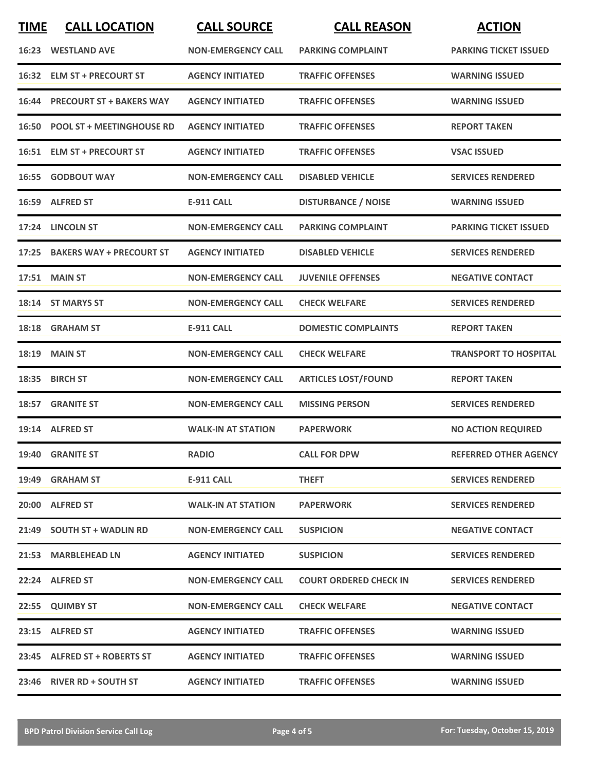| <b>TIME</b> | <b>CALL LOCATION</b>            | <b>CALL SOURCE</b>        | <b>CALL REASON</b>            | <b>ACTION</b>                |
|-------------|---------------------------------|---------------------------|-------------------------------|------------------------------|
|             | <b>16:23 WESTLAND AVE</b>       | <b>NON-EMERGENCY CALL</b> | <b>PARKING COMPLAINT</b>      | <b>PARKING TICKET ISSUED</b> |
|             | 16:32 ELM ST + PRECOURT ST      | <b>AGENCY INITIATED</b>   | <b>TRAFFIC OFFENSES</b>       | <b>WARNING ISSUED</b>        |
|             | 16:44 PRECOURT ST + BAKERS WAY  | <b>AGENCY INITIATED</b>   | <b>TRAFFIC OFFENSES</b>       | <b>WARNING ISSUED</b>        |
|             | 16:50 POOL ST + MEETINGHOUSE RD | <b>AGENCY INITIATED</b>   | <b>TRAFFIC OFFENSES</b>       | <b>REPORT TAKEN</b>          |
|             | 16:51 ELM ST + PRECOURT ST      | <b>AGENCY INITIATED</b>   | <b>TRAFFIC OFFENSES</b>       | <b>VSAC ISSUED</b>           |
|             | <b>16:55 GODBOUT WAY</b>        | <b>NON-EMERGENCY CALL</b> | <b>DISABLED VEHICLE</b>       | <b>SERVICES RENDERED</b>     |
|             | 16:59 ALFRED ST                 | <b>E-911 CALL</b>         | <b>DISTURBANCE / NOISE</b>    | <b>WARNING ISSUED</b>        |
|             | 17:24 LINCOLN ST                | <b>NON-EMERGENCY CALL</b> | <b>PARKING COMPLAINT</b>      | <b>PARKING TICKET ISSUED</b> |
|             | 17:25 BAKERS WAY + PRECOURT ST  | <b>AGENCY INITIATED</b>   | <b>DISABLED VEHICLE</b>       | <b>SERVICES RENDERED</b>     |
|             | 17:51 MAIN ST                   | <b>NON-EMERGENCY CALL</b> | <b>JUVENILE OFFENSES</b>      | <b>NEGATIVE CONTACT</b>      |
|             | 18:14 ST MARYS ST               | <b>NON-EMERGENCY CALL</b> | <b>CHECK WELFARE</b>          | <b>SERVICES RENDERED</b>     |
|             | 18:18 GRAHAM ST                 | <b>E-911 CALL</b>         | <b>DOMESTIC COMPLAINTS</b>    | <b>REPORT TAKEN</b>          |
| 18:19       | <b>MAIN ST</b>                  | <b>NON-EMERGENCY CALL</b> | <b>CHECK WELFARE</b>          | <b>TRANSPORT TO HOSPITAL</b> |
| 18:35       | <b>BIRCH ST</b>                 | <b>NON-EMERGENCY CALL</b> | <b>ARTICLES LOST/FOUND</b>    | <b>REPORT TAKEN</b>          |
|             | 18:57 GRANITE ST                | <b>NON-EMERGENCY CALL</b> | <b>MISSING PERSON</b>         | <b>SERVICES RENDERED</b>     |
|             | 19:14 ALFRED ST                 | <b>WALK-IN AT STATION</b> | <b>PAPERWORK</b>              | <b>NO ACTION REQUIRED</b>    |
|             | 19:40 GRANITE ST                | <b>RADIO</b>              | <b>CALL FOR DPW</b>           | <b>REFERRED OTHER AGENCY</b> |
|             | 19:49 GRAHAM ST                 | <b>E-911 CALL</b>         | <b>THEFT</b>                  | <b>SERVICES RENDERED</b>     |
|             | 20:00 ALFRED ST                 | <b>WALK-IN AT STATION</b> | <b>PAPERWORK</b>              | <b>SERVICES RENDERED</b>     |
|             | 21:49 SOUTH ST + WADLIN RD      | <b>NON-EMERGENCY CALL</b> | <b>SUSPICION</b>              | <b>NEGATIVE CONTACT</b>      |
|             | 21:53 MARBLEHEAD LN             | <b>AGENCY INITIATED</b>   | <b>SUSPICION</b>              | <b>SERVICES RENDERED</b>     |
|             | 22:24 ALFRED ST                 | <b>NON-EMERGENCY CALL</b> | <b>COURT ORDERED CHECK IN</b> | <b>SERVICES RENDERED</b>     |
|             | 22:55 QUIMBY ST                 | <b>NON-EMERGENCY CALL</b> | <b>CHECK WELFARE</b>          | <b>NEGATIVE CONTACT</b>      |
|             | 23:15 ALFRED ST                 | <b>AGENCY INITIATED</b>   | <b>TRAFFIC OFFENSES</b>       | <b>WARNING ISSUED</b>        |
|             | 23:45 ALFRED ST + ROBERTS ST    | <b>AGENCY INITIATED</b>   | <b>TRAFFIC OFFENSES</b>       | <b>WARNING ISSUED</b>        |
|             | 23:46 RIVER RD + SOUTH ST       | <b>AGENCY INITIATED</b>   | <b>TRAFFIC OFFENSES</b>       | <b>WARNING ISSUED</b>        |